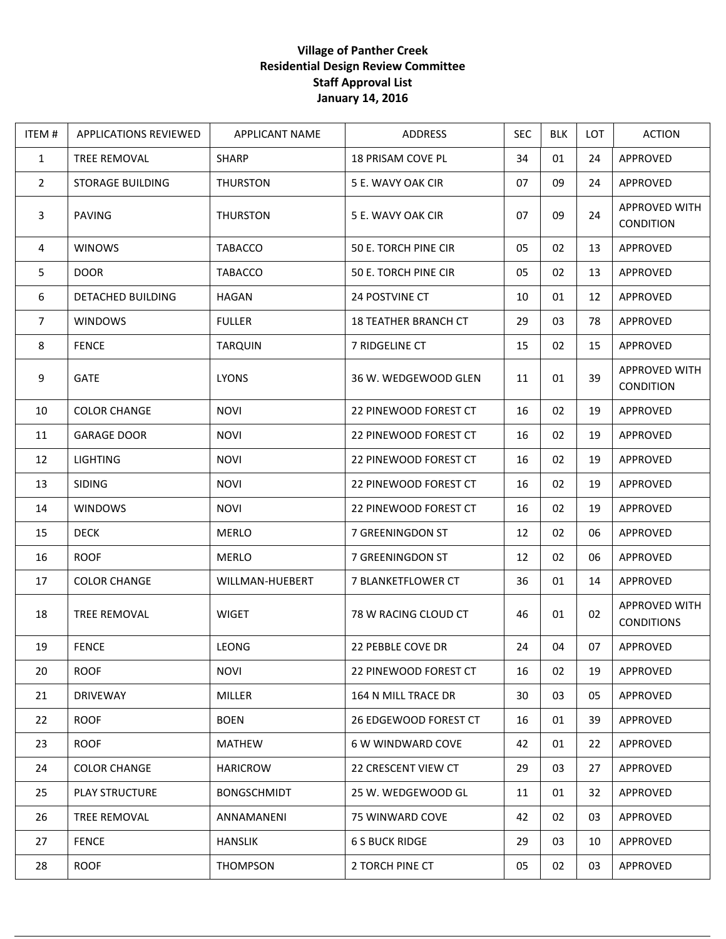## **Village of Panther Creek Residential Design Review Committee Staff Approval List January 14, 2016**

| ITEM#          | <b>APPLICATIONS REVIEWED</b> | <b>APPLICANT NAME</b> | <b>ADDRESS</b>              | <b>SEC</b> | <b>BLK</b> | <b>LOT</b> | <b>ACTION</b>                            |
|----------------|------------------------------|-----------------------|-----------------------------|------------|------------|------------|------------------------------------------|
| $\mathbf{1}$   | <b>TREE REMOVAL</b>          | <b>SHARP</b>          | 18 PRISAM COVE PL           | 34         | 01         | 24         | APPROVED                                 |
| $\overline{2}$ | <b>STORAGE BUILDING</b>      | <b>THURSTON</b>       | 5 E. WAVY OAK CIR           | 07         | 09         | 24         | APPROVED                                 |
| 3              | <b>PAVING</b>                | <b>THURSTON</b>       | 5 E. WAVY OAK CIR           | 07         | 09         | 24         | <b>APPROVED WITH</b><br><b>CONDITION</b> |
| 4              | <b>WINOWS</b>                | TABACCO               | 50 E. TORCH PINE CIR        | 05         | 02         | 13         | APPROVED                                 |
| 5              | <b>DOOR</b>                  | <b>TABACCO</b>        | 50 E. TORCH PINE CIR        | 05         | 02         | 13         | APPROVED                                 |
| 6              | DETACHED BUILDING            | <b>HAGAN</b>          | <b>24 POSTVINE CT</b>       | 10         | 01         | 12         | APPROVED                                 |
| $\overline{7}$ | <b>WINDOWS</b>               | <b>FULLER</b>         | <b>18 TEATHER BRANCH CT</b> | 29         | 03         | 78         | APPROVED                                 |
| 8              | <b>FENCE</b>                 | <b>TARQUIN</b>        | 7 RIDGELINE CT              | 15         | 02         | 15         | APPROVED                                 |
| 9              | <b>GATE</b>                  | <b>LYONS</b>          | 36 W. WEDGEWOOD GLEN        | 11         | 01         | 39         | APPROVED WITH<br><b>CONDITION</b>        |
| 10             | <b>COLOR CHANGE</b>          | <b>NOVI</b>           | 22 PINEWOOD FOREST CT       | 16         | 02         | 19         | APPROVED                                 |
| 11             | <b>GARAGE DOOR</b>           | <b>NOVI</b>           | 22 PINEWOOD FOREST CT       | 16         | 02         | 19         | APPROVED                                 |
| 12             | <b>LIGHTING</b>              | <b>NOVI</b>           | 22 PINEWOOD FOREST CT       | 16         | 02         | 19         | APPROVED                                 |
| 13             | <b>SIDING</b>                | <b>NOVI</b>           | 22 PINEWOOD FOREST CT       | 16         | 02         | 19         | APPROVED                                 |
| 14             | <b>WINDOWS</b>               | <b>NOVI</b>           | 22 PINEWOOD FOREST CT       | 16         | 02         | 19         | APPROVED                                 |
| 15             | <b>DECK</b>                  | <b>MERLO</b>          | 7 GREENINGDON ST            | 12         | 02         | 06         | APPROVED                                 |
| 16             | <b>ROOF</b>                  | <b>MERLO</b>          | 7 GREENINGDON ST            | 12         | 02         | 06         | APPROVED                                 |
| 17             | <b>COLOR CHANGE</b>          | WILLMAN-HUEBERT       | 7 BLANKETFLOWER CT          | 36         | 01         | 14         | APPROVED                                 |
| 18             | <b>TREE REMOVAL</b>          | <b>WIGET</b>          | 78 W RACING CLOUD CT        | 46         | 01         | 02         | APPROVED WITH<br><b>CONDITIONS</b>       |
| 19             | <b>FENCE</b>                 | <b>LEONG</b>          | 22 PEBBLE COVE DR           | 24         | 04         | 07         | APPROVED                                 |
| 20             | <b>ROOF</b>                  | <b>NOVI</b>           | 22 PINEWOOD FOREST CT       | 16         | 02         | 19         | APPROVED                                 |
| 21             | <b>DRIVEWAY</b>              | MILLER                | 164 N MILL TRACE DR         | 30         | 03         | 05         | APPROVED                                 |
| 22             | <b>ROOF</b>                  | <b>BOEN</b>           | 26 EDGEWOOD FOREST CT       | 16         | 01         | 39         | APPROVED                                 |
| 23             | <b>ROOF</b>                  | <b>MATHEW</b>         | 6 W WINDWARD COVE           | 42         | 01         | 22         | APPROVED                                 |
| 24             | <b>COLOR CHANGE</b>          | <b>HARICROW</b>       | <b>22 CRESCENT VIEW CT</b>  | 29         | 03         | 27         | APPROVED                                 |
| 25             | PLAY STRUCTURE               | <b>BONGSCHMIDT</b>    | 25 W. WEDGEWOOD GL          | 11         | 01         | 32         | APPROVED                                 |
| 26             | TREE REMOVAL                 | ANNAMANENI            | 75 WINWARD COVE             | 42         | 02         | 03         | APPROVED                                 |
| 27             | <b>FENCE</b>                 | <b>HANSLIK</b>        | <b>6 S BUCK RIDGE</b>       | 29         | 03         | 10         | APPROVED                                 |
| 28             | <b>ROOF</b>                  | THOMPSON              | 2 TORCH PINE CT             | 05         | 02         | 03         | APPROVED                                 |